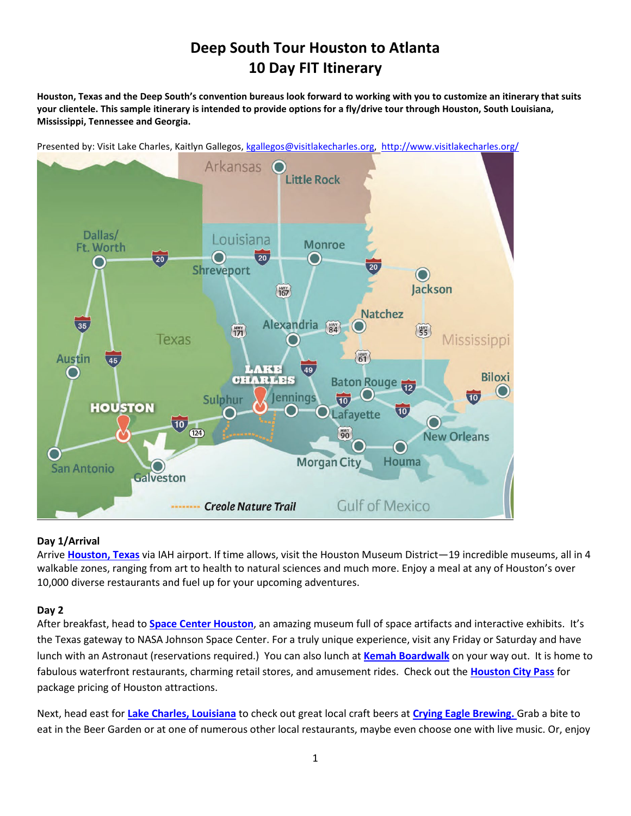# **Deep South Tour Houston to Atlanta 10 Day FIT Itinerary**

**Houston, Texas and the Deep South's convention bureaus look forward to working with you to customize an itinerary that suits your clientele. This sample itinerary is intended to provide options for a fly/drive tour through Houston, South Louisiana, Mississippi, Tennessee and Georgia.** 

Presented by: Visit Lake Charles, Kaitlyn Gallegos, [kgallegos@visitlakecharles.org,](mailto:aklenke@visitlakecharles.org) <http://www.visitlakecharles.org/>



#### **Day 1/Arrival**

Arrive **[Houston, Texas](https://www.visithoustontexas.com/)** via IAH airport. If time allows, visit the Houston Museum District—19 incredible museums, all in 4 walkable zones, ranging from art to health to natural sciences and much more. Enjoy a meal at any of Houston's over 10,000 diverse restaurants and fuel up for your upcoming adventures.

#### **Day 2**

After breakfast, head to **[Space Center Houston](https://spacecenter.org/)**, an amazing museum full of space artifacts and interactive exhibits. It's the Texas gateway to NASA Johnson Space Center. For a truly unique experience, visit any Friday or Saturday and have lunch with an Astronaut (reservations required.) You can also lunch at **[Kemah Boardwalk](http://www.kemahboardwalk.com/)** on your way out. It is home to fabulous waterfront restaurants, charming retail stores, and amusement rides. Check out the **[Houston City Pass](https://www.citypass.com/houston)** for package pricing of Houston attractions.

Next, head east for **Lake Charles, Louisiana** to check out great local craft beers at **[Crying Eagle Brewing.](http://www.cryingeagle.com/visit)** Grab a bite to eat in the Beer Garden or at one of numerous other local restaurants, maybe even choose one with live music. Or, enjoy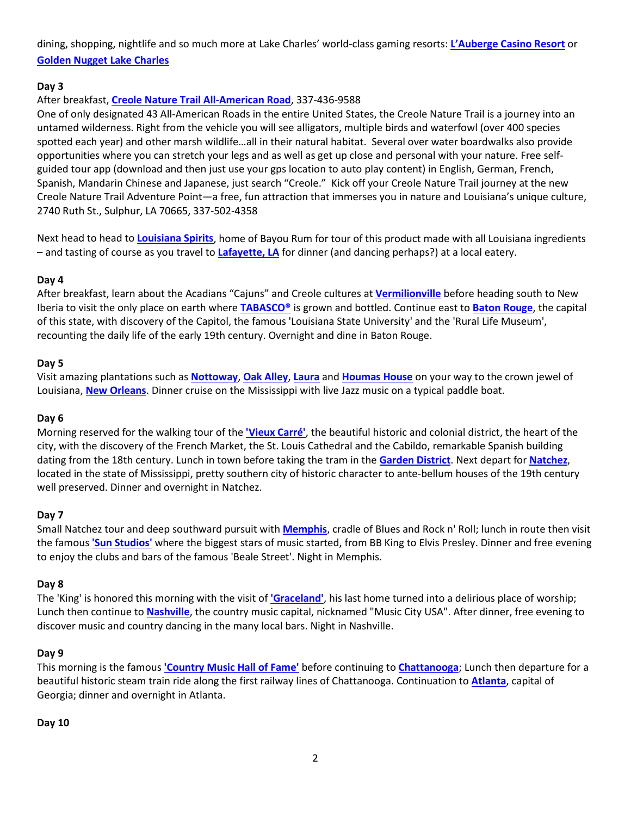## dining, shopping, nightlife and so much more at Lake Charles' world-class gaming resorts: **[L'Auberge Casino Resort](https://www.llakecharles.com/)** or **[Golden Nugget Lake Charles](http://www.goldennugget.com/lakecharles/)**

## **Day 3**

## After breakfast, **[Creole Nature Trail All-American Road](http://www.creolenaturetrail.org/)**, 337-436-9588

One of only designated 43 All-American Roads in the entire United States, the Creole Nature Trail is a journey into an untamed wilderness. Right from the vehicle you will see alligators, multiple birds and waterfowl (over 400 species spotted each year) and other marsh wildlife…all in their natural habitat. Several over water boardwalks also provide opportunities where you can stretch your legs and as well as get up close and personal with your nature. Free selfguided tour app (download and then just use your gps location to auto play content) in English, German, French, Spanish, Mandarin Chinese and Japanese, just search "Creole." Kick off your Creole Nature Trail journey at the new Creole Nature Trail Adventure Point—a free, fun attraction that immerses you in nature and Louisiana's unique culture, 2740 Ruth St., Sulphur, LA 70665, 337-502-4358

Next head to head to **[Louisiana Spirits](https://bayourum.com/)**, home of Bayou Rum for tour of this product made with all Louisiana ingredients – and tasting of course as you travel to **[Lafayette, LA](http://lafayettetravel.com/)** for dinner (and dancing perhaps?) at a local eatery.

## **Day 4**

After breakfast, learn about the Acadians "Cajuns" and Creole cultures at **[Vermilionville](https://www.lafayettetravel.com/listing/vermilionville-living-history-museum-%26-folklife-park/1393/)** before heading south to New Iberia to visit the only place on earth where **[TABASCO®](https://www.lafayettetravel.com/listing/avery-island-home-of-tabasco%C2%AE-pepper-sauce/1364/)** is grown and bottled. Continue east to **[Baton Rouge](https://www.visitbatonrouge.com/)**, the capital of this state, with discovery of the Capitol, the famous 'Louisiana State University' and the 'Rural Life Museum', recounting the daily life of the early 19th century. Overnight and dine in Baton Rouge.

#### **Day 5**

Visit amazing plantations such as **[Nottoway](https://www.visitbatonrouge.com/listing/nottoway-plantation-%26-resort/628/)**, **[Oak Alley](http://neworleansplantationcountry.com/plantations/oak-alley-plantation)**, **[Laura](http://neworleansplantationcountry.com/plantations/laura-plantation)** and **[Houmas House](http://neworleansplantationcountry.com/plantations/houmas-house-plantation)** on your way to the crown jewel of Louisiana, **[New Orleans](https://www.neworleans.com/)**. Dinner cruise on the Mississippi with live Jazz music on a typical paddle boat.

#### **Day 6**

Morning reserved for the walking tour of the **['Vieux Carré'](https://www.neworleans.com/plan/neighborhoods/french-quarter/)**, the beautiful historic and colonial district, the heart of the city, with the discovery of the French Market, the St. Louis Cathedral and the Cabildo, remarkable Spanish building dating from the 18th century. Lunch in town before taking the tram in the **[Garden District](https://www.neworleans.com/plan/neighborhoods/uptown-garden-district/)**. Next depart for **[Natchez](http://visitnatchez.org/)**, located in the state of Mississippi, pretty southern city of historic character to ante-bellum houses of the 19th century well preserved. Dinner and overnight in Natchez.

#### **Day 7**

Small Natchez tour and deep southward pursuit with **[Memphis](http://www.memphistravel.com/)**, cradle of Blues and Rock n' Roll; lunch in route then visit the famous **['Sun Studios'](http://www.memphistravel.com/sun-studio)** where the biggest stars of music started, from BB King to Elvis Presley. Dinner and free evening to enjoy the clubs and bars of the famous 'Beale Street'. Night in Memphis.

#### **Day 8**

The 'King' is honored this morning with the visit of **['Graceland'](http://www.memphistravel.com/visit-graceland-0)**, his last home turned into a delirious place of worship; Lunch then continue to **[Nashville](http://www.visitmusiccity.com/)**, the country music capital, nicknamed "Music City USA". After dinner, free evening to discover music and country dancing in the many local bars. Night in Nashville.

#### **Day 9**

This morning is the famous **['Country Music Hall of Fame'](http://www.visitmusiccity.com/thingstodo/listing?bid=3912)** before continuing to **[Chattanooga](https://www.chattanoogafun.com/)**; Lunch then departure for a beautiful historic steam train ride along the first railway lines of Chattanooga. Continuation to **[Atlanta](http://www.atlanta.net/acvb/)**, capital of Georgia; dinner and overnight in Atlanta.

#### **Day 10**